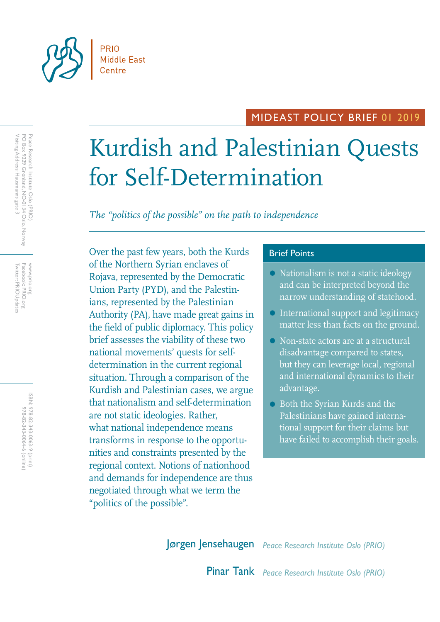

## MIDEAST POLICY BRIEF 0112019

# Kurdish and Palestinian Quests for Self-Determination

*The "politics of the possible" on the path to independence*

Over the past few years, both the Kurds Brief Points of the Northern Syrian enclaves of Rojava, represented by the Democratic Union Party (PYD), and the Palestinians, represented by the Palestinian Authority (PA), have made great gains in the field of public diplomacy. This policy brief assesses the viability of these two national movements' quests for selfdetermination in the current regional situation. Through a comparison of the Kurdish and Palestinian cases, we argue that nationalism and self-determination are not static ideologies. Rather, what national independence means transforms in response to the opportunities and constraints presented by the regional context. Notions of nationhood and demands for independence are thus negotiated through what we term the "politics of the possible".

- Nationalism is not a static ideology and can be interpreted beyond the narrow understanding of statehood.
- International support and legitimacy matter less than facts on the ground.
- Non-state actors are at a structural disadvantage compared to states, but they can leverage local, regional and international dynamics to their advantage.
- Both the Syrian Kurds and the Palestinians have gained international support for their claims but have failed to accomplish their goals.

Jørgen Jensehaugen *Peace Research Institute Oslo (PRIO)*

Pinar Tank *Peace Research Institute Oslo (PRIO)*

Twitter: PRIOUpdates Facebook: PRIO.org Twitter: PRIOUpdates Facebook: PRIO.org www.prio.org www.prio.org

> ISBN: 978-82-343-0063-9 (print) 978-82-343-0064-6 (online) 978-82-343-0064-6 (online) 978-82-343-0063-9 (print)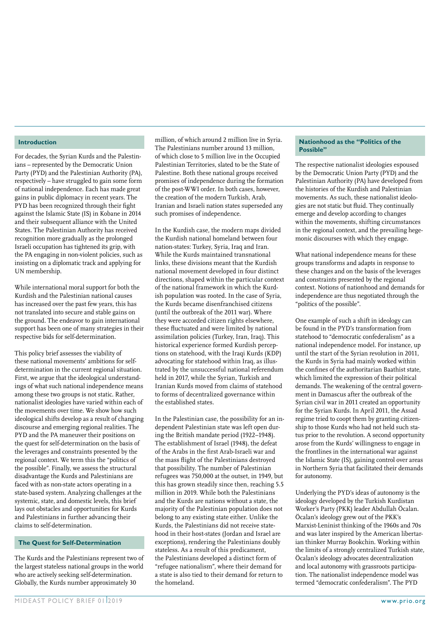#### **Introduction**

For decades, the Syrian Kurds and the Palestinians – represented by the Democratic Union Party (PYD) and the Palestinian Authority (PA), respectively – have struggled to gain some form of national independence. Each has made great gains in public diplomacy in recent years. The PYD has been recognized through their fight against the Islamic State (IS) in Kobane in 2014 and their subsequent alliance with the United States. The Palestinian Authority has received recognition more gradually as the prolonged Israeli occupation has tightened its grip, with the PA engaging in non-violent policies, such as insisting on a diplomatic track and applying for UN membership.

While international moral support for both the Kurdish and the Palestinian national causes has increased over the past few years, this has not translated into secure and stable gains on the ground. The endeavor to gain international support has been one of many strategies in their respective bids for self-determination.

This policy brief assesses the viability of these national movements' ambitions for selfdetermination in the current regional situation. First, we argue that the ideological understandings of what such national independence means among these two groups is not static. Rather, nationalist ideologies have varied within each of the movements over time. We show how such ideological shifts develop as a result of changing discourse and emerging regional realities. The PYD and the PA maneuver their positions on the quest for self-determination on the basis of the leverages and constraints presented by the regional context. We term this the "politics of the possible". Finally, we assess the structural disadvantage the Kurds and Palestinians are faced with as non-state actors operating in a state-based system. Analyzing challenges at the systemic, state, and domestic levels, this brief lays out obstacles and opportunities for Kurds and Palestinians in further advancing their claims to self-determination.

#### **The Quest for Self-Determination**

The Kurds and the Palestinians represent two of the largest stateless national groups in the world who are actively seeking self-determination. Globally, the Kurds number approximately 30

million, of which around 2 million live in Syria. The Palestinians number around 13 million, of which close to 5 million live in the Occupied Palestinian Territories, slated to be the State of Palestine. Both these national groups received promises of independence during the formation of the post-WWI order. In both cases, however, the creation of the modern Turkish, Arab, Iranian and Israeli nation states superseded any such promises of independence.

In the Kurdish case, the modern maps divided the Kurdish national homeland between four nation-states: Turkey, Syria, Iraq and Iran. While the Kurds maintained transnational links, these divisions meant that the Kurdish national movement developed in four distinct directions, shaped within the particular context of the national framework in which the Kurdish population was rooted. In the case of Syria, the Kurds became disenfranchised citizens (until the outbreak of the 2011 war). Where they were accorded citizen rights elsewhere, these fluctuated and were limited by national assimilation policies (Turkey, Iran, Iraq). This historical experience formed Kurdish perceptions on statehood, with the Iraqi Kurds (KDP) advocating for statehood within Iraq, as illustrated by the unsuccessful national referendum held in 2017, while the Syrian, Turkish and Iranian Kurds moved from claims of statehood to forms of decentralized governance within the established states.

In the Palestinian case, the possibility for an independent Palestinian state was left open during the British mandate period (1922–1948). The establishment of Israel (1948), the defeat of the Arabs in the first Arab-Israeli war and the mass flight of the Palestinians destroyed that possibility. The number of Palestinian refugees was 750,000 at the outset, in 1949, but this has grown steadily since then, reaching 5.5 million in 2019. While both the Palestinians and the Kurds are nations without a state, the majority of the Palestinian population does not belong to any existing state either. Unlike the Kurds, the Palestinians did not receive statehood in their host-states (Jordan and Israel are exceptions), rendering the Palestinians doubly stateless. As a result of this predicament, the Palestinians developed a distinct form of "refugee nationalism", where their demand for a state is also tied to their demand for return to the homeland.

#### **Nationhood as the "Politics of the Possible"**

The respective nationalist ideologies espoused by the Democratic Union Party (PYD) and the Palestinian Authority (PA) have developed from the histories of the Kurdish and Palestinian movements. As such, these nationalist ideologies are not static but fluid. They continually emerge and develop according to changes within the movements, shifting circumstances in the regional context, and the prevailing hegemonic discourses with which they engage.

What national independence means for these groups transforms and adapts in response to these changes and on the basis of the leverages and constraints presented by the regional context. Notions of nationhood and demands for independence are thus negotiated through the "politics of the possible".

One example of such a shift in ideology can be found in the PYD's transformation from statehood to "democratic confederalism" as a national independence model. For instance, up until the start of the Syrian revolution in 2011, the Kurds in Syria had mainly worked within the confines of the authoritarian Baathist state, which limited the expression of their political demands. The weakening of the central government in Damascus after the outbreak of the Syrian civil war in 2011 created an opportunity for the Syrian Kurds. In April 2011, the Assad regime tried to coopt them by granting citizenship to those Kurds who had not held such status prior to the revolution. A second opportunity arose from the Kurds' willingness to engage in the frontlines in the international war against the Islamic State (IS), gaining control over areas in Northern Syria that facilitated their demands for autonomy.

Underlying the PYD's ideas of autonomy is the ideology developed by the Turkish Kurdistan Worker's Party (PKK) leader Abdullah Öcalan. Öcalan's ideology grew out of the PKK's Marxist-Leninist thinking of the 1960s and 70s and was later inspired by the American libertarian thinker Murray Bookchin. Working within the limits of a strongly centralized Turkish state, Öcalan's ideology advocates decentralization and local autonomy with grassroots participation. The nationalist independence model was termed "democratic confederalism". The PYD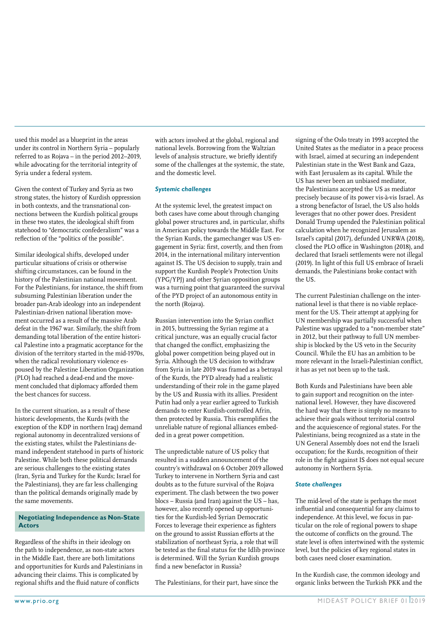used this model as a blueprint in the areas under its control in Northern Syria – popularly referred to as Rojava – in the period 2012–2019, while advocating for the territorial integrity of Syria under a federal system.

Given the context of Turkey and Syria as two strong states, the history of Kurdish oppression in both contexts, and the transnational connections between the Kurdish political groups in these two states, the ideological shift from statehood to "democratic confederalism" was a reflection of the "politics of the possible".

Similar ideological shifts, developed under particular situations of crisis or otherwise shifting circumstances, can be found in the history of the Palestinian national movement. For the Palestinians, for instance, the shift from subsuming Palestinian liberation under the broader pan-Arab ideology into an independent Palestinian-driven national liberation movement occurred as a result of the massive Arab defeat in the 1967 war. Similarly, the shift from demanding total liberation of the entire historical Palestine into a pragmatic acceptance for the division of the territory started in the mid-1970s, when the radical revolutionary violence espoused by the Palestine Liberation Organization (PLO) had reached a dead-end and the movement concluded that diplomacy afforded them the best chances for success.

In the current situation, as a result of these historic developments, the Kurds (with the exception of the KDP in northern Iraq) demand regional autonomy in decentralized versions of the existing states, whilst the Palestinians demand independent statehood in parts of historic Palestine. While both these political demands are serious challenges to the existing states (Iran, Syria and Turkey for the Kurds; Israel for the Palestinians), they are far less challenging than the political demands originally made by the same movements.

#### **Negotiating Independence as Non-State Actors**

Regardless of the shifts in their ideology on the path to independence, as non-state actors in the Middle East, there are both limitations and opportunities for Kurds and Palestinians in advancing their claims. This is complicated by regional shifts and the fluid nature of conflicts

with actors involved at the global, regional and national levels. Borrowing from the Waltzian levels of analysis structure, we briefly identify some of the challenges at the systemic, the state, and the domestic level.

#### *Systemic challenges*

At the systemic level, the greatest impact on both cases have come about through changing global power structures and, in particular, shifts in American policy towards the Middle East. For the Syrian Kurds, the gamechanger was US engagement in Syria: first, covertly, and then from 2014, in the international military intervention against IS. The US decision to supply, train and support the Kurdish People's Protection Units (YPG/YPJ) and other Syrian opposition groups was a turning point that guaranteed the survival of the PYD project of an autonomous entity in the north (Rojava).

Russian intervention into the Syrian conflict in 2015, buttressing the Syrian regime at a critical juncture, was an equally crucial factor that changed the conflict, emphasizing the global power competition being played out in Syria. Although the US decision to withdraw from Syria in late 2019 was framed as a betrayal of the Kurds, the PYD already had a realistic understanding of their role in the game played by the US and Russia with its allies. President Putin had only a year earlier agreed to Turkish demands to enter Kurdish-controlled Afrin, then protected by Russia. This exemplifies the unreliable nature of regional alliances embedded in a great power competition.

The unpredictable nature of US policy that resulted in a sudden announcement of the country's withdrawal on 6 October 2019 allowed Turkey to intervene in Northern Syria and cast doubts as to the future survival of the Rojava experiment. The clash between the two power blocs – Russia (and Iran) against the US – has, however, also recently opened up opportunities for the Kurdish-led Syrian Democratic Forces to leverage their experience as fighters on the ground to assist Russian efforts at the stabilization of northeast Syria, a role that will be tested as the final status for the Idlib province is determined. Will the Syrian Kurdish groups find a new benefactor in Russia?

The Palestinians, for their part, have since the

signing of the Oslo treaty in 1993 accepted the United States as the mediator in a peace process with Israel, aimed at securing an independent Palestinian state in the West Bank and Gaza, with East Jerusalem as its capital. While the US has never been an unbiased mediator, the Palestinians accepted the US as mediator precisely because of its power vis-à-vis Israel. As a strong benefactor of Israel, the US also holds leverages that no other power does. President Donald Trump upended the Palestinian political calculation when he recognized Jerusalem as Israel's capital (2017), defunded UNRWA (2018), closed the PLO office in Washington (2018), and declared that Israeli settlements were not illegal (2019). In light of this full US embrace of Israeli demands, the Palestinians broke contact with  $tha IIS$ 

The current Palestinian challenge on the international level is that there is no viable replacement for the US. Their attempt at applying for UN membership was partially successful when Palestine was upgraded to a "non-member state" in 2012, but their pathway to full UN membership is blocked by the US veto in the Security Council. While the EU has an ambition to be more relevant in the Israeli-Palestinian conflict, it has as yet not been up to the task.

Both Kurds and Palestinians have been able to gain support and recognition on the international level. However, they have discovered the hard way that there is simply no means to achieve their goals without territorial control and the acquiescence of regional states. For the Palestinians, being recognized as a state in the UN General Assembly does not end the Israeli occupation; for the Kurds, recognition of their role in the fight against IS does not equal secure autonomy in Northern Syria.

#### *State challenges*

The mid-level of the state is perhaps the most influential and consequential for any claims to independence. At this level, we focus in particular on the role of regional powers to shape the outcome of conflicts on the ground. The state level is often intertwined with the systemic level, but the policies of key regional states in both cases need closer examination.

In the Kurdish case, the common ideology and organic links between the Turkish PKK and the